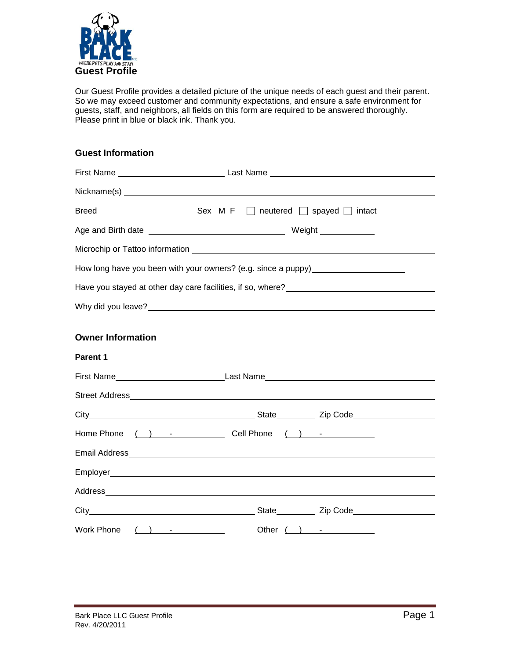

Our Guest Profile provides a detailed picture of the unique needs of each guest and their parent. So we may exceed customer and community expectations, and ensure a safe environment for guests, staff, and neighbors, all fields on this form are required to be answered thoroughly. Please print in blue or black ink. Thank you.

# **Guest Information**

|                          | How long have you been with your owners? (e.g. since a puppy)___________________ |  |
|--------------------------|----------------------------------------------------------------------------------|--|
|                          |                                                                                  |  |
|                          |                                                                                  |  |
| <b>Owner Information</b> |                                                                                  |  |
| <b>Parent 1</b>          |                                                                                  |  |
|                          |                                                                                  |  |
|                          |                                                                                  |  |
|                          |                                                                                  |  |
|                          |                                                                                  |  |
|                          |                                                                                  |  |
|                          |                                                                                  |  |
|                          |                                                                                  |  |
|                          |                                                                                  |  |
| <b>Work Phone</b>        |                                                                                  |  |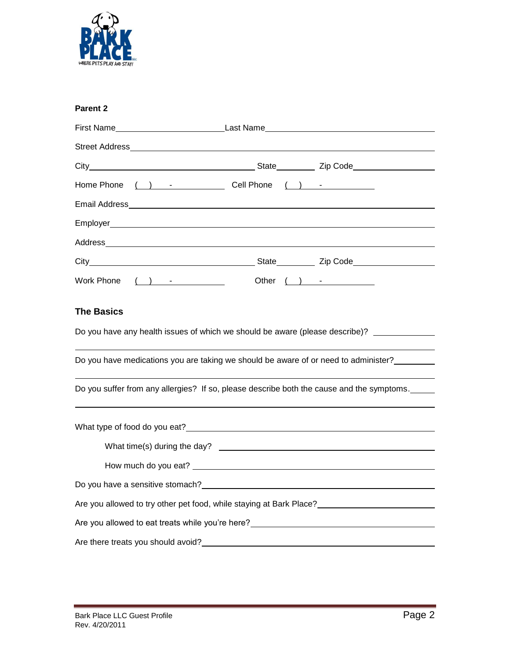

|  | <b>Parent 2</b> |  |
|--|-----------------|--|
|--|-----------------|--|

| Home Phone ( ) - Cell Phone ( ) - _ _ _ _ _                                                                       |  |
|-------------------------------------------------------------------------------------------------------------------|--|
|                                                                                                                   |  |
|                                                                                                                   |  |
| Address Address Address Address Address Address Address Address Address Address Address Address Address Address A |  |
|                                                                                                                   |  |
| Work Phone ( ) - Other ( ) -                                                                                      |  |
| <b>The Basics</b>                                                                                                 |  |
| Do you have any health issues of which we should be aware (please describe)?                                      |  |
| Do you have medications you are taking we should be aware of or need to administer?                               |  |
| Do you suffer from any allergies? If so, please describe both the cause and the symptoms.                         |  |
|                                                                                                                   |  |
|                                                                                                                   |  |
|                                                                                                                   |  |
|                                                                                                                   |  |
| Are you allowed to try other pet food, while staying at Bark Place?                                               |  |
| Are you allowed to eat treats while you're here? Are you allowed to be a state of the state of the state of the   |  |
| Are there treats you should avoid?                                                                                |  |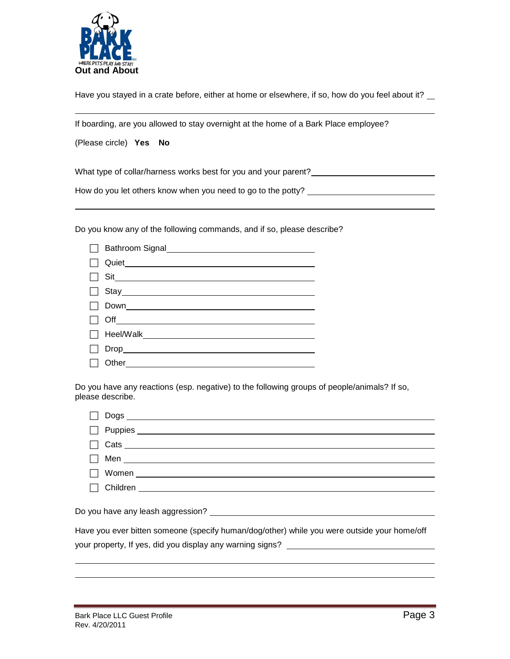

Have you stayed in a crate before, either at home or elsewhere, if so, how do you feel about it? \_\_

If boarding, are you allowed to stay overnight at the home of a Bark Place employee?

(Please circle) **Yes No**

What type of collar/harness works best for you and your parent?

How do you let others know when you need to go to the potty?

Do you know any of the following commands, and if so, please describe?

| $\Box$ Sit       |
|------------------|
|                  |
| $\Box$ Down      |
|                  |
|                  |
|                  |
| □ Other_________ |

Do you have any reactions (esp. negative) to the following groups of people/animals? If so, please describe.

| $\begin{array}{c c c c c} \hline \text{7} & \text{Cats} & \text{8} & \text{10} & \text{10} & \text{10} & \text{10} & \text{10} & \text{10} & \text{10} & \text{10} & \text{10} & \text{10} & \text{10} & \text{10} & \text{10} & \text{10} & \text{10} & \text{10} & \text{10} & \text{10} & \text{10} & \text{10} & \text{10} & \text{10} & \text{10} & \text{10} & \text{10} & \text{10} & \$ |
|-------------------------------------------------------------------------------------------------------------------------------------------------------------------------------------------------------------------------------------------------------------------------------------------------------------------------------------------------------------------------------------------------|
|                                                                                                                                                                                                                                                                                                                                                                                                 |
|                                                                                                                                                                                                                                                                                                                                                                                                 |
|                                                                                                                                                                                                                                                                                                                                                                                                 |
|                                                                                                                                                                                                                                                                                                                                                                                                 |
|                                                                                                                                                                                                                                                                                                                                                                                                 |
| Have you ever bitten someone (specify human/dog/other) while you were outside your home/off                                                                                                                                                                                                                                                                                                     |

your property, If yes, did you display any warning signs? \_\_\_\_\_\_\_\_\_\_\_\_\_\_\_\_\_\_\_\_\_\_\_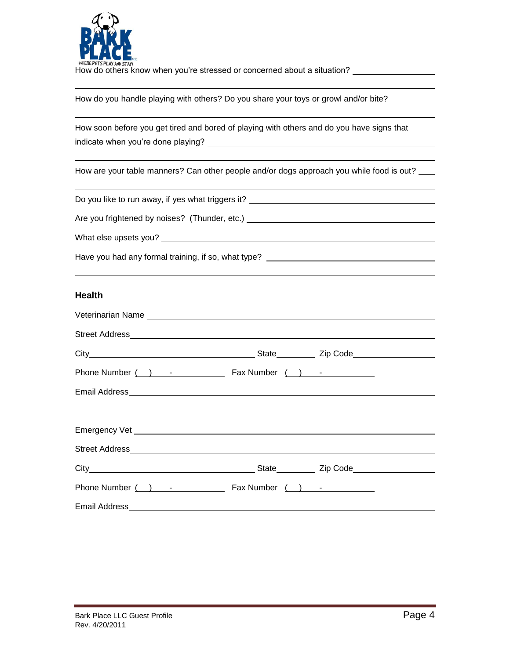

How do others know when you're stressed or concerned about a situation?

How do you handle playing with others? Do you share your toys or growl and/or bite? \_\_\_\_\_\_\_\_

|                                    | How soon before you get tired and bored of playing with others and do you have signs that |
|------------------------------------|-------------------------------------------------------------------------------------------|
| indicate when you're done playing? |                                                                                           |

How are your table manners? Can other people and/or dogs approach you while food is out?

Do you like to run away, if yes what triggers it?

Are you frightened by noises? (Thunder, etc.) \_\_\_\_\_\_\_\_\_\_\_\_\_\_\_\_\_\_\_\_\_\_\_\_\_\_\_\_\_\_\_\_\_\_

What else upsets you?

| Have you had any formal training, if so, what type? |  |
|-----------------------------------------------------|--|

### **Health**

| Phone Number $( )$ - Fax Number $( )$ - |  |
|-----------------------------------------|--|
|                                         |  |
|                                         |  |
|                                         |  |
|                                         |  |
|                                         |  |
| Phone Number () - Case Rax Number () -  |  |
|                                         |  |

**Contract Contract**